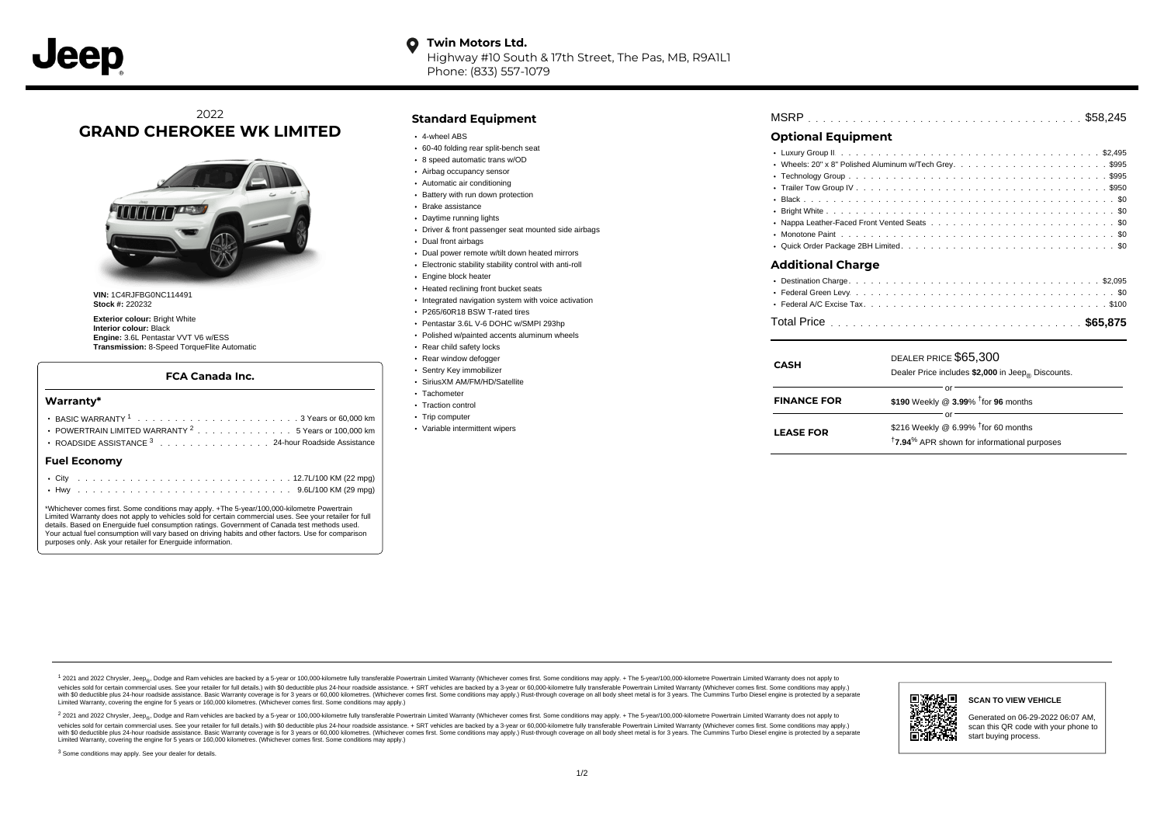Highway #10 South & 17th Street, The Pas, MB, R9A1L1 Phone: (833) 557-1079

# 2022 **GRAND CHEROKEE WK LIMITED**



**VIN:** 1C4RJFBG0NC114491 **Stock #:** 220232

**Exterior colour:** Bright White **Interior colour:** Black **Engine:** 3.6L Pentastar VVT V6 w/ESS **Transmission:** 8-Speed TorqueFlite Automatic

### **FCA Canada Inc.**

#### **Warranty\***

| <b>Fuel Economv</b>                                            |  |  |  |  |  |  |  |  |
|----------------------------------------------------------------|--|--|--|--|--|--|--|--|
| ROADSIDE ASSISTANCE <sup>3</sup> 24-hour Roadside Assistance   |  |  |  |  |  |  |  |  |
| POWERTRAIN LIMITED WARRANTY <sup>2</sup> 5 Years or 100,000 km |  |  |  |  |  |  |  |  |
|                                                                |  |  |  |  |  |  |  |  |
|                                                                |  |  |  |  |  |  |  |  |

\*Whichever comes first. Some conditions may apply. +The 5-year/100,000-kilometre Powertrain Limited Warranty does not apply to vehicles sold for certain commercial uses. See your retailer for full details. Based on Energuide fuel consumption ratings. Government of Canada test methods used. Your actual fuel consumption will vary based on driving habits and other factors. Use for comparison purposes only. Ask your retailer for Energuide information.

## **Standard Equipment**

- 4-wheel ABS
- 60-40 folding rear split-bench seat
- 8 speed automatic trans w/OD
- Airbag occupancy sensor
- Automatic air conditioning
- Battery with run down protection
- Brake assistance
- Daytime running lights
- Driver & front passenger seat mounted side airbags
- Dual front airbags
- Dual power remote w/tilt down heated mirrors
- Electronic stability stability control with anti-roll
- Engine block heater
- Heated reclining front bucket seats
- Integrated navigation system with voice activation
- P265/60R18 BSW T-rated tires
- Pentastar 3.6L V-6 DOHC w/SMPI 293hp
- Polished w/painted accents aluminum wheels
- Rear child safety locks
- Rear window defogger
- Sentry Key immobilizer
- SiriusXM AM/FM/HD/Satellite
- Tachometer
- Traction control
- Trip computer
- Variable intermittent wipers

| <b>MSRP</b> |  |  |  |  |  |  |  |  |  |  |  |  |  |  |  |  |  |  |  |  |  |  |  |  |  |  |  |  |  |  |  |  |  |  |  |  |
|-------------|--|--|--|--|--|--|--|--|--|--|--|--|--|--|--|--|--|--|--|--|--|--|--|--|--|--|--|--|--|--|--|--|--|--|--|--|
|-------------|--|--|--|--|--|--|--|--|--|--|--|--|--|--|--|--|--|--|--|--|--|--|--|--|--|--|--|--|--|--|--|--|--|--|--|--|

## **Optional Equipment**

| <b>Additional Charge</b> |  |
|--------------------------|--|
|                          |  |
|                          |  |

| <b>CASH</b>        | DEALER PRICE \$65,300<br>Dealer Price includes \$2,000 in Jeep <sub>®</sub> Discounts. |  |  |  |  |  |  |  |  |  |
|--------------------|----------------------------------------------------------------------------------------|--|--|--|--|--|--|--|--|--|
| <b>FINANCE FOR</b> | Ωľ<br>\$190 Weekly @ $3.99\%$ <sup>†</sup> for 96 months                               |  |  |  |  |  |  |  |  |  |
|                    | Ωľ<br>\$216 Weekly @ 6.99% <sup>t</sup> for 60 months                                  |  |  |  |  |  |  |  |  |  |
| <b>LEASE FOR</b>   | <sup>†</sup> 7.94 <sup>%</sup> APR shown for informational purposes                    |  |  |  |  |  |  |  |  |  |

1 2021 and 2022 Chrysler, Jeep<sub>er</sub>, Dodge and Ram vehicles are backed by a 5-year or 100,000-kilometre fully transferable Powertrain Limited Warranty (Whichever comes first. Some conditions may apply. + The 5-year/100,000vehicles sold for certain commercial uses. See your retailer for full details.) with \$0 deductible plus 24-hour roadside assistance. + SRT vehicles are backed by a 3-year or 60,000-kilometre fully transferable Powertrain L versus and contract the mean of the contract of the contract with a contract with a contract the contract of the search of the contract and a control of the contract and contract and control of the search of the search of Limited Warranty, covering the engine for 5 years or 160,000 kilometres. (Whichever comes first. Some conditions may apply.)

2 2021 and 2022 Chrysler, Jeep<sub>e»</sub> Dodge and Ram vehicles are backed by a 5-year or 100,000-kilometre fully transferable Powertrain Limited Warranty (Whichever comes first. Some conditions may apply. + The 5-year/100,000-k vehicles sold for certain commercial uses. See your retailer for full details.) with SO deductible plus 24-hour roadside assistance. + SRT vehicles are backed by a 3-year or 60.000-kilometre fully transferable Powertrain L with S0 deductible plus 24-hour roadside assistance. Basic Warranty coverage is for 3 years or 60,000 kilometres. (Whichever comes first. Some conditions may apply.) Rust-through coverage on all body sheet metal is for 3 y



#### **SCAN TO VIEW VEHICLE**

Generated on 06-29-2022 06:07 AM, scan this QR code with your phone to start buying process.

<sup>3</sup> Some conditions may apply. See your dealer for details.